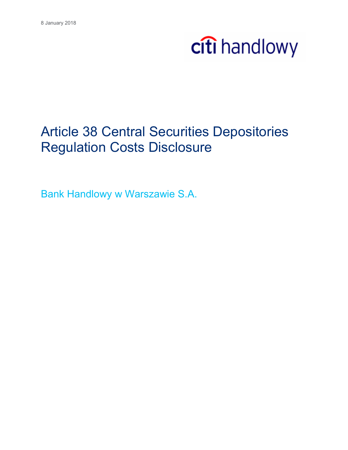### Article 38 Central Securities Depositories Regulation Costs Disclosure

Bank Handlowy w Warszawie S.A.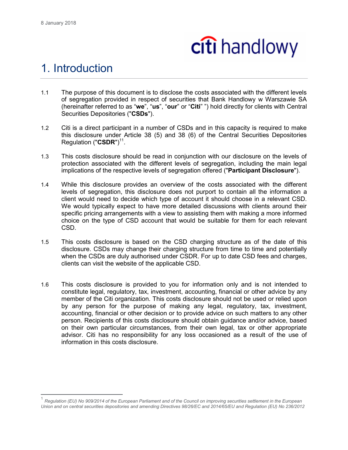$\overline{\phantom{a}}$ 



#### 1. Introduction

- 1.1 The purpose of this document is to disclose the costs associated with the different levels of segregation provided in respect of securities that Bank Handlowy w Warszawie SA (hereinafter referred to as "**we**", "**us**", "**our**" or "**Citi**" ") hold directly for clients with Central Securities Depositories ("**CSDs**").
- 1.2 Citi is a direct participant in a number of CSDs and in this capacity is required to make this disclosure under Article 38 (5) and 38 (6) of the Central Securities Depositories Regulation ("CSDR")<sup>11</sup>.
- 1.3 This costs disclosure should be read in conjunction with our disclosure on the levels of protection associated with the different levels of segregation, including the main legal implications of the respective levels of segregation offered ("**Participant Disclosure**").
- 1.4 While this disclosure provides an overview of the costs associated with the different levels of segregation, this disclosure does not purport to contain all the information a client would need to decide which type of account it should choose in a relevant CSD. We would typically expect to have more detailed discussions with clients around their specific pricing arrangements with a view to assisting them with making a more informed choice on the type of CSD account that would be suitable for them for each relevant CSD.
- 1.5 This costs disclosure is based on the CSD charging structure as of the date of this disclosure. CSDs may change their charging structure from time to time and potentially when the CSDs are duly authorised under CSDR. For up to date CSD fees and charges, clients can visit the website of the applicable CSD.
- 1.6 This costs disclosure is provided to you for information only and is not intended to constitute legal, regulatory, tax, investment, accounting, financial or other advice by any member of the Citi organization. This costs disclosure should not be used or relied upon by any person for the purpose of making any legal, regulatory, tax, investment, accounting, financial or other decision or to provide advice on such matters to any other person. Recipients of this costs disclosure should obtain guidance and/or advice, based on their own particular circumstances, from their own legal, tax or other appropriate advisor. Citi has no responsibility for any loss occasioned as a result of the use of information in this costs disclosure.

<sup>1</sup> *Regulation (EU) No 909/2014 of the European Parliament and of the Council on improving securities settlement in the European Union and on central securities depositories and amending Directives 98/26/EC and 2014/65/EU and Regulation (EU) No 236/2012*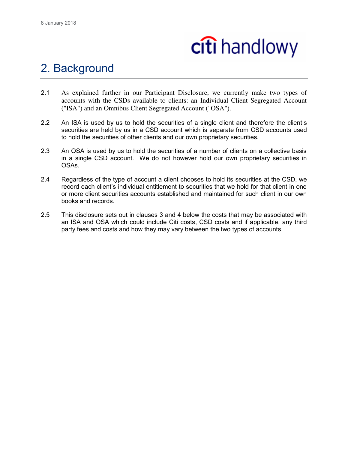

#### 2. Background

- 2.1 As explained further in our Participant Disclosure, we currently make two types of accounts with the CSDs available to clients: an Individual Client Segregated Account ("ISA") and an Omnibus Client Segregated Account ("OSA").
- 2.2 An ISA is used by us to hold the securities of a single client and therefore the client's securities are held by us in a CSD account which is separate from CSD accounts used to hold the securities of other clients and our own proprietary securities.
- 2.3 An OSA is used by us to hold the securities of a number of clients on a collective basis in a single CSD account. We do not however hold our own proprietary securities in OSAs.
- 2.4 Regardless of the type of account a client chooses to hold its securities at the CSD, we record each client's individual entitlement to securities that we hold for that client in one or more client securities accounts established and maintained for such client in our own books and records.
- 2.5 This disclosure sets out in clauses 3 and 4 below the costs that may be associated with an ISA and OSA which could include Citi costs, CSD costs and if applicable, any third party fees and costs and how they may vary between the two types of accounts.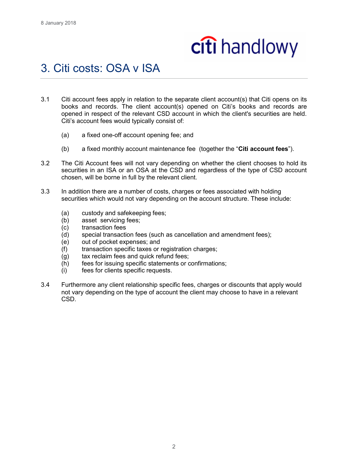### 3. Citi costs: OSA v ISA

- 3.1 Citi account fees apply in relation to the separate client account(s) that Citi opens on its books and records. The client account(s) opened on Citi's books and records are opened in respect of the relevant CSD account in which the client's securities are held. Citi's account fees would typically consist of:
	- (a) a fixed one-off account opening fee; and
	- (b) a fixed monthly account maintenance fee (together the "**Citi account fees**").
- 3.2 The Citi Account fees will not vary depending on whether the client chooses to hold its securities in an ISA or an OSA at the CSD and regardless of the type of CSD account chosen, will be borne in full by the relevant client.
- 3.3 In addition there are a number of costs, charges or fees associated with holding securities which would not vary depending on the account structure. These include:
	- (a) custody and safekeeping fees;
	- (b) asset servicing fees;
	- (c) transaction fees
	- (d) special transaction fees (such as cancellation and amendment fees);
	- (e) out of pocket expenses; and
	- (f) transaction specific taxes or registration charges;
	- (g) tax reclaim fees and quick refund fees;
	- (h) fees for issuing specific statements or confirmations;
	- (i) fees for clients specific requests.
- 3.4 Furthermore any client relationship specific fees, charges or discounts that apply would not vary depending on the type of account the client may choose to have in a relevant CSD.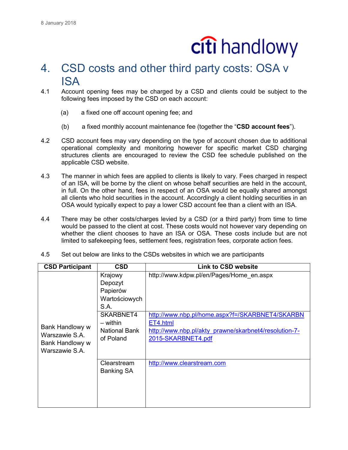### 4. CSD costs and other third party costs: OSA v ISA

- 4.1 Account opening fees may be charged by a CSD and clients could be subject to the following fees imposed by the CSD on each account:
	- (a) a fixed one off account opening fee; and
	- (b) a fixed monthly account maintenance fee (together the "**CSD account fees**").
- 4.2 CSD account fees may vary depending on the type of account chosen due to additional operational complexity and monitoring however for specific market CSD charging structures clients are encouraged to review the CSD fee schedule published on the applicable CSD website.
- 4.3 The manner in which fees are applied to clients is likely to vary. Fees charged in respect of an ISA, will be borne by the client on whose behalf securities are held in the account, in full. On the other hand, fees in respect of an OSA would be equally shared amongst all clients who hold securities in the account. Accordingly a client holding securities in an OSA would typically expect to pay a lower CSD account fee than a client with an ISA.
- 4.4 There may be other costs/charges levied by a CSD (or a third party) from time to time would be passed to the client at cost. These costs would not however vary depending on whether the client chooses to have an ISA or OSA. These costs include but are not limited to safekeeping fees, settlement fees, registration fees, corporate action fees.

| 4.5 | Set out below are links to the CSDs websites in which we are participants |  |
|-----|---------------------------------------------------------------------------|--|
|-----|---------------------------------------------------------------------------|--|

| <b>CSD Participant</b>                                                 | <b>CSD</b>                                                   | Link to CSD website                                                                                                                        |
|------------------------------------------------------------------------|--------------------------------------------------------------|--------------------------------------------------------------------------------------------------------------------------------------------|
|                                                                        | Krajowy<br>Depozyt<br>Papierów<br>Wartościowych<br>S.A.      | http://www.kdpw.pl/en/Pages/Home_en.aspx                                                                                                   |
| Bank Handlowy w<br>Warszawie S.A.<br>Bank Handlowy w<br>Warszawie S.A. | SKARBNET4<br>$-$ within<br><b>National Bank</b><br>of Poland | http://www.nbp.pl/home.aspx?f=/SKARBNET4/SKARBN<br>ET4.html<br>http://www.nbp.pl/akty_prawne/skarbnet4/resolution-7-<br>2015-SKARBNET4.pdf |
|                                                                        | Clearstream<br><b>Banking SA</b>                             | http://www.clearstream.com                                                                                                                 |